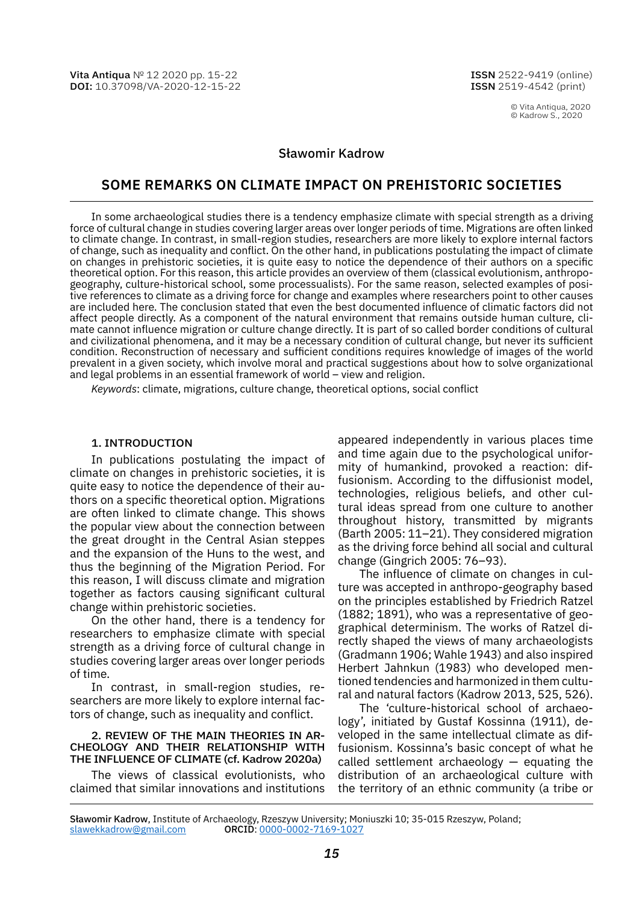© Vita Antiqua, 2020 © Kadrow S., 2020

## Sławomir Kadrow

# **Some remarKS on climate impact on prehiStoric SocietieS**

In some archaeological studies there is a tendency emphasize climate with special strength as a driving force of cultural change in studies covering larger areas over longer periods of time. Migrations are often linked to climate change. In contrast, in small-region studies, researchers are more likely to explore internal factors of change, such as inequality and conflict. On the other hand, in publications postulating the impact of climate on changes in prehistoric societies, it is quite easy to notice the dependence of their authors on a specific theoretical option. For this reason, this article provides an overview of them (classical evolutionism, anthropogeography, culture-historical school, some processualists). For the same reason, selected examples of positive references to climate as a driving force for change and examples where researchers point to other causes are included here. The conclusion stated that even the best documented influence of climatic factors did not affect people directly. As a component of the natural environment that remains outside human culture, climate cannot influence migration or culture change directly. It is part of so called border conditions of cultural and civilizational phenomena, and it may be a necessary condition of cultural change, but never its sufficient condition. Reconstruction of necessary and sufficient conditions requires knowledge of images of the world prevalent in a given society, which involve moral and practical suggestions about how to solve organizational and legal problems in an essential framework of world – view and religion.

*Keywords*: climate, migrations, culture change, theoretical options, social conflict

## 1. Introduction

In publications postulating the impact of climate on changes in prehistoric societies, it is quite easy to notice the dependence of their authors on a specific theoretical option. Migrations are often linked to climate change. This shows the popular view about the connection between the great drought in the Central Asian steppes and the expansion of the Huns to the west, and thus the beginning of the Migration Period. For this reason, I will discuss climate and migration together as factors causing significant cultural change within prehistoric societies.

On the other hand, there is a tendency for researchers to emphasize climate with special strength as a driving force of cultural change in studies covering larger areas over longer periods of time.

In contrast, in small-region studies, researchers are more likely to explore internal factors of change, such as inequality and conflict.

## 2. Review of the main theories in archeology and their relationship with the influence of climate (cf. Kadrow 2020a)

The views of classical evolutionists, who claimed that similar innovations and institutions appeared independently in various places time and time again due to the psychological uniformity of humankind, provoked a reaction: diffusionism. According to the diffusionist model, technologies, religious beliefs, and other cultural ideas spread from one culture to another throughout history, transmitted by migrants (Barth 2005: 11–21). They considered migration as the driving force behind all social and cultural change (Gingrich 2005: 76–93).

The influence of climate on changes in culture was accepted in anthropo-geography based on the principles established by Friedrich Ratzel (1882; 1891), who was a representative of geographical determinism. The works of Ratzel directly shaped the views of many archaeologists (Gradmann 1906; Wahle 1943) and also inspired Herbert Jahnkun (1983) who developed mentioned tendencies and harmonized in them cultural and natural factors (Kadrow 2013, 525, 526).

The 'culture-historical school of archaeology', initiated by Gustaf Kossinna (1911), developed in the same intellectual climate as diffusionism. Kossinna's basic concept of what he called settlement archaeology — equating the distribution of an archaeological culture with the territory of an ethnic community (a tribe or

Sławomir Kadrow, Institute of Archaeology, Rzeszуw University; Moniuszki 10; 35-015 Rzeszуw, Poland; [slawekkadrow@gmail.com](mailto:slawekkadrow@gmail.com) ORCID: [0000-0002-7169-1027](https://orcid.org/0000-0002-7169-1027)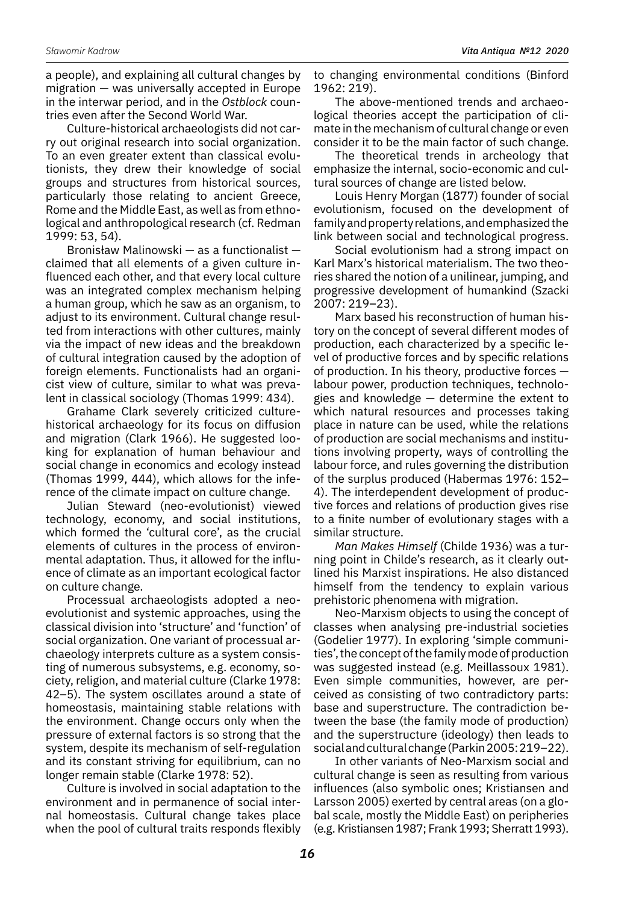a people), and explaining all cultural changes by migration — was universally accepted in Europe in the interwar period, and in the *Ostblock* countries even after the Second World War.

Culture-historical archaeologists did not carry out original research into social organization. To an even greater extent than classical evolutionists, they drew their knowledge of social groups and structures from historical sources, particularly those relating to ancient Greece, Rome and the Middle East, as well as from ethnological and anthropological research (cf. Redman 1999: 53, 54).

Bronisław Malinowski — as a functionalist claimed that all elements of a given culture influenced each other, and that every local culture was an integrated complex mechanism helping a human group, which he saw as an organism, to adjust to its environment. Cultural change resulted from interactions with other cultures, mainly via the impact of new ideas and the breakdown of cultural integration caused by the adoption of foreign elements. Functionalists had an organicist view of culture, similar to what was prevalent in classical sociology (Thomas 1999: 434).

Grahame Clark severely criticized culturehistorical archaeology for its focus on diffusion and migration (Clark 1966). He suggested looking for explanation of human behaviour and social change in economics and ecology instead (Thomas 1999, 444), which allows for the inference of the climate impact on culture change.

Julian Steward (neo-evolutionist) viewed technology, economy, and social institutions, which formed the 'cultural core', as the crucial elements of cultures in the process of environmental adaptation. Thus, it allowed for the influence of climate as an important ecological factor on culture change.

Processual archaeologists adopted a neoevolutionist and systemic approaches, using the classical division into 'structure' and 'function' of social organization. One variant of processual archaeology interprets culture as a system consisting of numerous subsystems, e.g. economy, society, religion, and material culture (Clarke 1978: 42–5). The system oscillates around a state of homeostasis, maintaining stable relations with the environment. Change occurs only when the pressure of external factors is so strong that the system, despite its mechanism of self-regulation and its constant striving for equilibrium, can no longer remain stable (Clarke 1978: 52).

Culture is involved in social adaptation to the environment and in permanence of social internal homeostasis. Cultural change takes place when the pool of cultural traits responds flexibly to changing environmental conditions (Binford 1962: 219).

The above-mentioned trends and archaeological theories accept the participation of climate in the mechanism of cultural change or even consider it to be the main factor of such change.

The theoretical trends in archeology that emphasize the internal, socio-economic and cultural sources of change are listed below.

Louis Henry Morgan (1877) founder of social evolutionism, focused on the development of family and property relations, and emphasized the link between social and technological progress.

Social evolutionism had a strong impact on Karl Marx's historical materialism. The two theories shared the notion of a unilinear, jumping, and progressive development of humankind (Szacki 2007: 219–23).

Marx based his reconstruction of human history on the concept of several different modes of production, each characterized by a specific level of productive forces and by specific relations of production. In his theory, productive forces labour power, production techniques, technologies and knowledge — determine the extent to which natural resources and processes taking place in nature can be used, while the relations of production are social mechanisms and institutions involving property, ways of controlling the labour force, and rules governing the distribution of the surplus produced (Habermas 1976: 152– 4). The interdependent development of productive forces and relations of production gives rise to a finite number of evolutionary stages with a similar structure.

*Man Makes Himself* (Childe 1936) was a turning point in Childe's research, as it clearly outlined his Marxist inspirations. He also distanced himself from the tendency to explain various prehistoric phenomena with migration.

Neo-Marxism objects to using the concept of classes when analysing pre-industrial societies (Godelier 1977). In exploring 'simple communities', the concept of the family mode of production was suggested instead (e.g. Meillassoux 1981). Even simple communities, however, are perceived as consisting of two contradictory parts: base and superstructure. The contradiction between the base (the family mode of production) and the superstructure (ideology) then leads to social and cultural change (Parkin 2005: 219–22).

In other variants of Neo-Marxism social and cultural change is seen as resulting from various influences (also symbolic ones; Kristiansen and Larsson 2005) exerted by central areas (on a global scale, mostly the Middle East) on peripheries (e.g. Kristiansen 1987; Frank 1993; Sherratt 1993).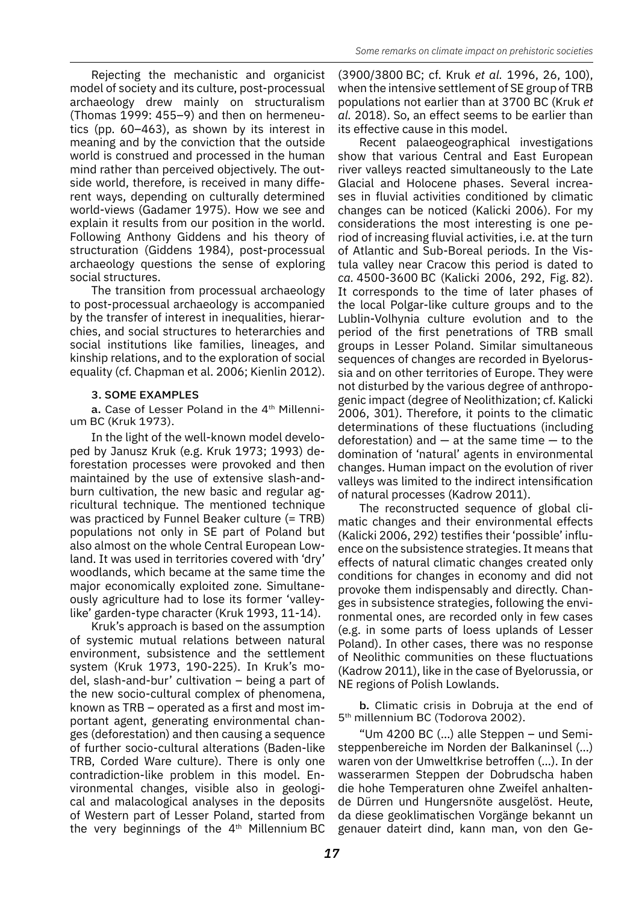Rejecting the mechanistic and organicist model of society and its culture, post-processual archaeology drew mainly on structuralism (Thomas 1999: 455–9) and then on hermeneutics (pp. 60–463), as shown by its interest in meaning and by the conviction that the outside world is construed and processed in the human mind rather than perceived objectively. The outside world, therefore, is received in many different ways, depending on culturally determined world-views (Gadamer 1975). How we see and explain it results from our position in the world. Following Anthony Giddens and his theory of structuration (Giddens 1984), post-processual archaeology questions the sense of exploring social structures.

The transition from processual archaeology to post-processual archaeology is accompanied by the transfer of interest in inequalities, hierarchies, and social structures to heterarchies and social institutions like families, lineages, and kinship relations, and to the exploration of social equality (cf. Chapman et al. 2006; Kienlin 2012).

## 3. Some examples

a. Case of Lesser Poland in the 4<sup>th</sup> Millennium BC (Kruk 1973).

In the light of the well-known model developed by Janusz Kruk (e.g. Kruk 1973; 1993) deforestation processes were provoked and then maintained by the use of extensive slash-andburn cultivation, the new basic and regular agricultural technique. The mentioned technique was practiced by Funnel Beaker culture (= TRB) populations not only in SE part of Poland but also almost on the whole Central European Lowland. It was used in territories covered with 'dry' woodlands, which became at the same time the major economically exploited zone. Simultaneously agriculture had to lose its former 'valleylike' garden-type character (Kruk 1993, 11-14).

Kruk's approach is based on the assumption of systemic mutual relations between natural environment, subsistence and the settlement system (Kruk 1973, 190-225). In Kruk's model, slash-and-bur' cultivation – being a part of the new socio-cultural complex of phenomena, known as TRB – operated as a first and most important agent, generating environmental changes (deforestation) and then causing a sequence of further socio-cultural alterations (Baden-like TRB, Corded Ware culture). There is only one contradiction-like problem in this model. Environmental changes, visible also in geological and malacological analyses in the deposits of Western part of Lesser Poland, started from the very beginnings of the  $4<sup>th</sup>$  Millennium BC

(3900/3800 BC; cf. Kruk *et al.* 1996, 26, 100), when the intensive settlement of SE group of TRB populations not earlier than at 3700 BC (Kruk *et al.* 2018). So, an effect seems to be earlier than its effective cause in this model.

Recent palaeogeographical investigations show that various Central and East European river valleys reacted simultaneously to the Late Glacial and Holocene phases. Several increases in fluvial activities conditioned by climatic changes can be noticed (Kalicki 2006). For my considerations the most interesting is one period of increasing fluvial activities, i.e. at the turn of Atlantic and Sub-Boreal periods. In the Vistula valley near Cracow this period is dated to *ca.* 4500-3600 BC (Kalicki 2006, 292, Fig. 82). It corresponds to the time of later phases of the local Polgar-like culture groups and to the Lublin-Volhynia culture evolution and to the period of the first penetrations of TRB small groups in Lesser Poland. Similar simultaneous sequences of changes are recorded in Byelorussia and on other territories of Europe. They were not disturbed by the various degree of anthropogenic impact (degree of Neolithization; cf. Kalicki 2006, 301). Therefore, it points to the climatic determinations of these fluctuations (including deforestation) and  $-$  at the same time  $-$  to the domination of 'natural' agents in environmental changes. Human impact on the evolution of river valleys was limited to the indirect intensification of natural processes (Kadrow 2011).

The reconstructed sequence of global climatic changes and their environmental effects (Kalicki 2006, 292) testifies their 'possible' influence on the subsistence strategies. It means that effects of natural climatic changes created only conditions for changes in economy and did not provoke them indispensably and directly. Changes in subsistence strategies, following the environmental ones, are recorded only in few cases (e.g. in some parts of loess uplands of Lesser Poland). In other cases, there was no response of Neolithic communities on these fluctuations (Kadrow 2011), like in the case of Byelorussia, or NE regions of Polish Lowlands.

b. Climatic crisis in Dobruja at the end of 5th millennium BC (Todorova 2002).

"Um 4200 BC (…) alle Steppen – und Semisteppenbereiche im Norden der Balkaninsel (…) waren von der Umweltkrise betroffen (…). In der wasserarmen Steppen der Dobrudscha haben die hohe Temperaturen ohne Zweifel anhaltende Dürren und Hungersnöte ausgelöst. Heute, da diese geoklimatischen Vorgänge bekannt un genauer dateirt dind, kann man, von den Ge-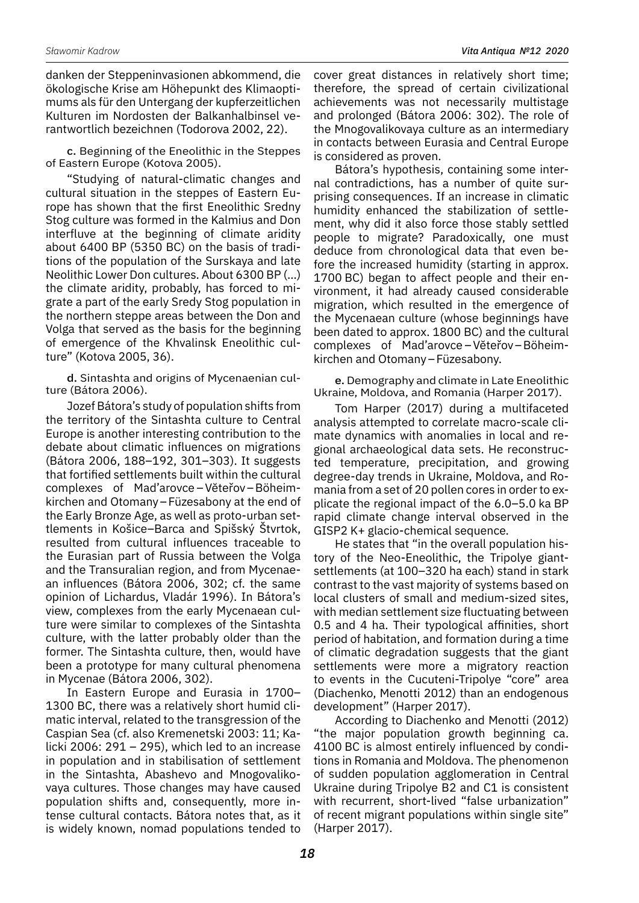danken der Steppeninvasionen abkommend, die ökologische Krise am Höhepunkt des Klimaoptimums als für den Untergang der kupferzeitlichen Kulturen im Nordosten der Balkanhalbinsel verantwortlich bezeichnen (Todorova 2002, 22).

c. Beginning of the Eneolithic in the Steppes of Eastern Europe (Kotova 2005).

"Studying of natural-climatic changes and cultural situation in the steppes of Eastern Europe has shown that the first Eneolithic Sredny Stog culture was formed in the Kalmius and Don interfluve at the beginning of climate aridity about 6400 BP (5350 BC) on the basis of traditions of the population of the Surskaya and late Neolithic Lower Don cultures. About 6300 BP (…) the climate aridity, probably, has forced to migrate a part of the early Sredy Stog population in the northern steppe areas between the Don and Volga that served as the basis for the beginning of emergence of the Khvalinsk Eneolithic culture" (Kotova 2005, 36).

d. Sintashta and origins of Mycenaenian culture (Bátora 2006).

Jozef Bátora's study of population shifts from the territory of the Sintashta culture to Central Europe is another interesting contribution to the debate about climatic influences on migrations (Bátora 2006, 188–192, 301–303). It suggests that fortified settlements built within the cultural complexes of Mad'arovce –Vĕteřov–Böheimkirchen and Otomany–Füzesabony at the end of the Early Bronze Age, as well as proto-urban settlements in Košice–Barca and Spišský Štvrtok, resulted from cultural influences traceable to the Eurasian part of Russia between the Volga and the Transuralian region, and from Mycenaean influences (Bátora 2006, 302; cf. the same opinion of Lichardus, Vladár 1996). In Bátora's view, complexes from the early Mycenaean culture were similar to complexes of the Sintashta culture, with the latter probably older than the former. The Sintashta culture, then, would have been a prototype for many cultural phenomena in Mycenae (Bátora 2006, 302).

In Eastern Europe and Eurasia in 1700– 1300 BC, there was a relatively short humid climatic interval, related to the transgression of the Caspian Sea (cf. also Kremenetski 2003: 11; Kalicki 2006: 291 – 295), which led to an increase in population and in stabilisation of settlement in the Sintashta, Abashevo and Mnogovalikovaya cultures. Those changes may have caused population shifts and, consequently, more intense cultural contacts. Bátora notes that, as it is widely known, nomad populations tended to

cover great distances in relatively short time; therefore, the spread of certain civilizational achievements was not necessarily multistage and prolonged (Bátora 2006: 302). The role of the Mnogovalikovaya culture as an intermediary in contacts between Eurasia and Central Europe is considered as proven.

Bátora's hypothesis, containing some internal contradictions, has a number of quite surprising consequences. If an increase in climatic humidity enhanced the stabilization of settlement, why did it also force those stably settled people to migrate? Paradoxically, one must deduce from chronological data that even before the increased humidity (starting in approx. 1700 BC) began to affect people and their environment, it had already caused considerable migration, which resulted in the emergence of the Mycenaean culture (whose beginnings have been dated to approx. 1800 BC) and the cultural complexes of Mad'arovce –Vĕteřov–Böheimkirchen and Otomany–Füzesabony.

e. Demography and climate in Late Eneolithic Ukraine, Moldova, and Romania (Harper 2017).

Tom Harper (2017) during a multifaceted analysis attempted to correlate macro-scale climate dynamics with anomalies in local and regional archaeological data sets. He reconstructed temperature, precipitation, and growing degree-day trends in Ukraine, Moldova, and Romania from a set of 20 pollen cores in order to explicate the regional impact of the 6.0–5.0 ka BP rapid climate change interval observed in the GISP2 K+ glacio-chemical sequence.

He states that "in the overall population history of the Neo-Eneolithic, the Tripolye giantsettlements (at 100–320 ha each) stand in stark contrast to the vast majority of systems based on local clusters of small and medium-sized sites, with median settlement size fluctuating between 0.5 and 4 ha. Their typological affinities, short period of habitation, and formation during a time of climatic degradation suggests that the giant settlements were more a migratory reaction to events in the Cucuteni-Tripolye "core" area (Diachenko, Menotti 2012) than an endogenous development" (Harper 2017).

According to Diachenko and Menotti (2012) "the major population growth beginning ca. 4100 BC is almost entirely influenced by conditions in Romania and Moldova. The phenomenon of sudden population agglomeration in Central Ukraine during Tripolye B2 and C1 is consistent with recurrent, short-lived "false urbanization" of recent migrant populations within single site" (Harper 2017).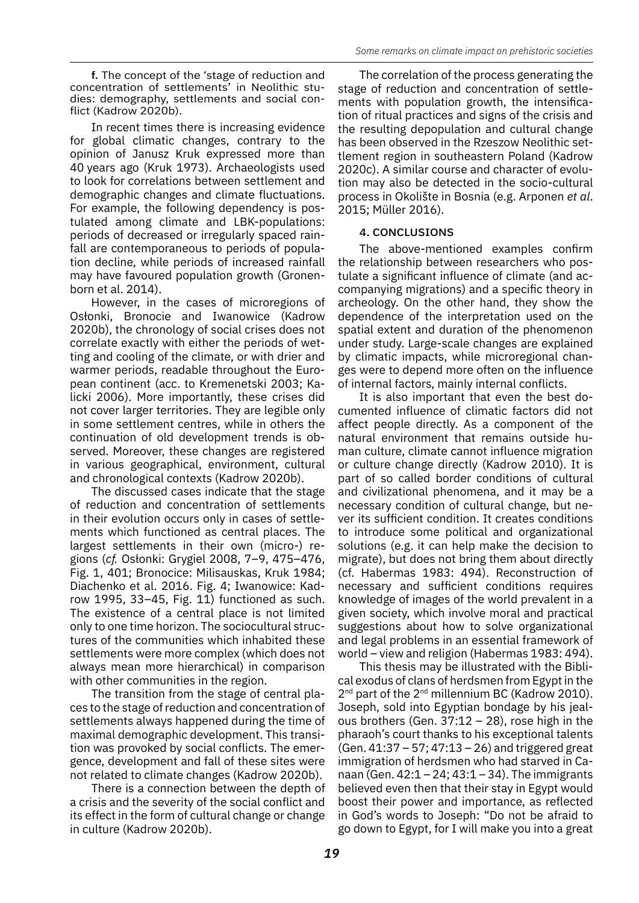f. The concept of the 'stage of reduction and concentration of settlements' in Neolithic studies: demography, settlements and social conflict (Kadrow 2020b).

In recent times there is increasing evidence for global climatic changes, contrary to the opinion of Janusz Kruk expressed more than 40 years ago (Kruk 1973). Archaeologists used to look for correlations between settlement and demographic changes and climate fluctuations. For example, the following dependency is postulated among climate and LBK-populations: periods of decreased or irregularly spaced rainfall are contemporaneous to periods of population decline, while periods of increased rainfall may have favoured population growth (Gronenborn et al. 2014).

However, in the cases of microregions of Osłonki, Bronocie and Iwanowice (Kadrow 2020b), the chronology of social crises does not correlate exactly with either the periods of wetting and cooling of the climate, or with drier and warmer periods, readable throughout the European continent (acc. to Kremenetski 2003; Kalicki 2006). More importantly, these crises did not cover larger territories. They are legible only in some settlement centres, while in others the continuation of old development trends is observed. Moreover, these changes are registered in various geographical, environment, cultural and chronological contexts (Kadrow 2020b).

The discussed cases indicate that the stage of reduction and concentration of settlements in their evolution occurs only in cases of settlements which functioned as central places. The largest settlements in their own (micro-) regions (*cf.* Osłonki: Grygiel 2008, 7–9, 475–476, Fig. 1, 401; Bronocice: Milisauskas, Kruk 1984; Diachenko et al. 2016. Fig. 4; Iwanowice: Kadrow 1995, 33–45, Fig. 11) functioned as such. The existence of a central place is not limited only to one time horizon. The sociocultural structures of the communities which inhabited these settlements were more complex (which does not always mean more hierarchical) in comparison with other communities in the region.

The transition from the stage of central places to the stage of reduction and concentration of settlements always happened during the time of maximal demographic development. This transition was provoked by social conflicts. The emergence, development and fall of these sites were not related to climate changes (Kadrow 2020b).

There is a connection between the depth of a crisis and the severity of the social conflict and its effect in the form of cultural change or change in culture (Kadrow 2020b).

The correlation of the process generating the stage of reduction and concentration of settlements with population growth, the intensification of ritual practices and signs of the crisis and the resulting depopulation and cultural change has been observed in the Rzeszow Neolithic settlement region in southeastern Poland (Kadrow 2020c). A similar course and character of evolution may also be detected in the socio-cultural process in Okolište in Bosnia (e.g. Arponen *et al*. 2015; Müller 2016).

## 4. Conclusions

The above-mentioned examples confirm the relationship between researchers who postulate a significant influence of climate (and accompanying migrations) and a specific theory in archeology. On the other hand, they show the dependence of the interpretation used on the spatial extent and duration of the phenomenon under study. Large-scale changes are explained by climatic impacts, while microregional changes were to depend more often on the influence of internal factors, mainly internal conflicts.

It is also important that even the best documented influence of climatic factors did not affect people directly. As a component of the natural environment that remains outside human culture, climate cannot influence migration or culture change directly (Kadrow 2010). It is part of so called border conditions of cultural and civilizational phenomena, and it may be a necessary condition of cultural change, but never its sufficient condition. It creates conditions to introduce some political and organizational solutions (e.g. it can help make the decision to migrate), but does not bring them about directly (cf. Habermas 1983: 494). Reconstruction of necessary and sufficient conditions requires knowledge of images of the world prevalent in a given society, which involve moral and practical suggestions about how to solve organizational and legal problems in an essential framework of world – view and religion (Habermas 1983: 494).

This thesis may be illustrated with the Biblical exodus of clans of herdsmen from Egypt in the  $2^{nd}$  part of the  $2^{nd}$  millennium BC (Kadrow 2010). Joseph, sold into Egyptian bondage by his jealous brothers (Gen. 37:12 – 28), rose high in the pharaoh's court thanks to his exceptional talents (Gen. 41:37 – 57; 47:13 – 26) and triggered great immigration of herdsmen who had starved in Canaan (Gen. 42:1 – 24; 43:1 – 34). The immigrants believed even then that their stay in Egypt would boost their power and importance, as reflected in God's words to Joseph: "Do not be afraid to go down to Egypt, for I will make you into a great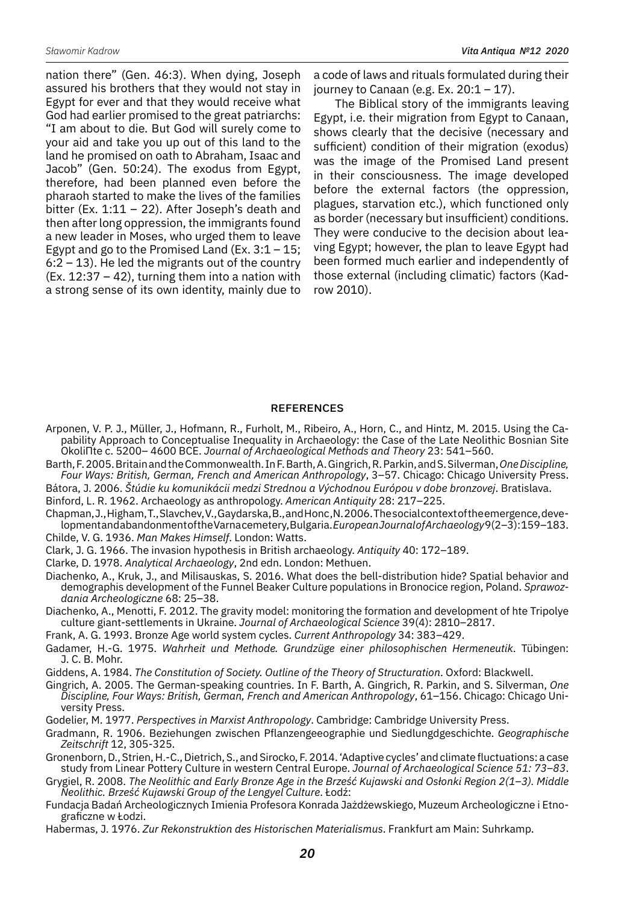nation there" (Gen. 46:3). When dying, Joseph assured his brothers that they would not stay in Egypt for ever and that they would receive what God had earlier promised to the great patriarchs: "I am about to die. But God will surely come to your aid and take you up out of this land to the land he promised on oath to Abraham, Isaac and Jacob" (Gen. 50:24). The exodus from Egypt, therefore, had been planned even before the pharaoh started to make the lives of the families bitter (Ex.  $1:11 - 22$ ). After Joseph's death and then after long oppression, the immigrants found a new leader in Moses, who urged them to leave Egypt and go to the Promised Land (Ex.  $3:1 - 15$ ;  $6:2 - 13$ ). He led the migrants out of the country  $(Ex. 12:37 - 42)$ , turning them into a nation with a strong sense of its own identity, mainly due to a code of laws and rituals formulated during their journey to Canaan (e.g. Ex.  $20:1 - 17$ ).

The Biblical story of the immigrants leaving Egypt, i.e. their migration from Egypt to Canaan, shows clearly that the decisive (necessary and sufficient) condition of their migration (exodus) was the image of the Promised Land present in their consciousness. The image developed before the external factors (the oppression, plagues, starvation etc.), which functioned only as border (necessary but insufficient) conditions. They were conducive to the decision about leaving Egypt; however, the plan to leave Egypt had been formed much earlier and independently of those external (including climatic) factors (Kadrow 2010).

#### **REFERENCES**

- Arponen, V. P. J., Müller, J., Hofmann, R., Furholt, M., Ribeiro, A., Horn, C., and Hintz, M. 2015. Using the Capability Approach to Conceptualise Inequality in Archaeology: the Case of the Late Neolithic Bosnian Site OkoliΠte c. 5200– 4600 BCE. *Journal of Archaeological Methods and Theory* 23: 541–560.
- Barth, F. 2005. Britain and the Commonwealth. In F. Barth, A. Gingrich, R. Parkin, and S. Silverman, *One Discipline, Four Ways: British, German, French and American Anthropology*, 3–57. Chicago: Chicago University Press.
- Bátora, J. 2006. *Štúdie ku komunikácii medzi Strednou a Východnou Európou v dobe bronzovej*. Bratislava.
- Binford, L. R. 1962. Archaeology as anthropology. *American Antiquity* 28: 217–225.
- Chapman, J., Higham, T., Slavchev, V., Gaydarska, B., and Honc ,N. 2006. The social context of the emergence, development and abandonment of the Varna cemetery, Bulgaria. *European Journal of Archaeology* 9(2–3): 159–183. Childe, V. G. 1936. *Man Makes Himself*. London: Watts.
- Clark, J. G. 1966. The invasion hypothesis in British archaeology. *Antiquity* 40: 172–189.
- Clarke, D. 1978. *Analytical Archaeology*, 2nd edn. London: Methuen.
- Diachenko, A., Kruk, J., and Milisauskas, S. 2016. What does the bell-distribution hide? Spatial behavior and demographis development of the Funnel Beaker Culture populations in Bronocice region, Poland. *Sprawozdania Archeologiczne* 68: 25–38.
- Diachenko, A., Menotti, F. 2012. The gravity model: monitoring the formation and development of hte Tripolye culture giant-settlements in Ukraine. *Journal of Archaeological Science* 39(4): 2810–2817.
- Frank, A. G. 1993. Bronze Age world system cycles. *Current Anthropology* 34: 383–429.
- Gadamer, H.-G. 1975. *Wahrheit und Methode. Grundzüge einer philosophischen Hermeneutik*. Tübingen: J. C. B. Mohr.
- Giddens, A. 1984. *The Constitution of Society. Outline of the Theory of Structuration*. Oxford: Blackwell.
- Gingrich, A. 2005. The German-speaking countries. In F. Barth, A. Gingrich, R. Parkin, and S. Silverman, *One Discipline, Four Ways: British, German, French and American Anthropology*, 61–156. Chicago: Chicago University Press.

Godelier, M. 1977. *Perspectives in Marxist Anthropology*. Cambridge: Cambridge University Press.

- Gradmann, R. 1906. Beziehungen zwischen Pflanzengeeographie und Siedlungdgeschichte. *Geographische Zeitschrift* 12, 305-325.
- Gronenborn, D., Strien, H.-C., Dietrich, S., and Sirocko, F. 2014. 'Adaptive cycles' and climate fluctuations: a case study from Linear Pottery Culture in western Central Europe. *Journal of Archaeological Science 51: 73–83*.

Grygiel, R. 2008. *The Neolithic and Early Bronze Age in the Brześć Kujawski and Osłonki Region 2(1–3). Middle Neolithic. Brześć Kujawski Group of the Lengyel Culture*. Łodź:

- Fundacja Badań Archeologicznych Imienia Profesora Konrada Jażdżewskiego, Muzeum Archeologiczne i Etnograficzne w Łodzi.
- Habermas, J. 1976. *Zur Rekonstruktion des Historischen Materialismus*. Frankfurt am Main: Suhrkamp.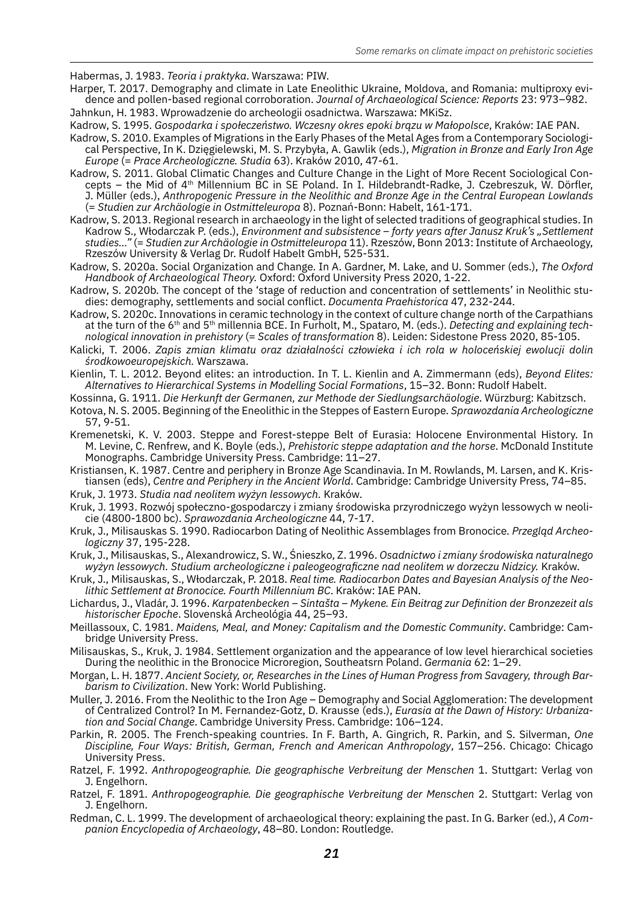Habermas, J. 1983. *Teoria i praktyka*. Warszawa: PIW.

- Harper, T. 2017. Demography and climate in Late Eneolithic Ukraine, Moldova, and Romania: multiproxy evidence and pollen-based regional corroboration. *Journal of Archaeological Science: Reports* 23: 973–982. Jahnkun, H. 1983. Wprowadzenie do archeologii osadnictwa. Warszawa: MKiSz.
- Kadrow, S. 1995. *Gospodarka i społeczeństwo. Wczesny okres epoki brązu w Małopolsce*, Kraków: IAE PAN.
- Kadrow, S. 2010. Examples of Migrations in the Early Phases of the Metal Ages from a Contemporary Sociological Perspective, In K. Dzięgielewski, M. S. Przybyła, A. Gawlik (eds.), *Migration in Bronze and Early Iron Age Europe* (= *Prace Archeologiczne. Studia* 63). Kraków 2010, 47-61.
- Kadrow, S. 2011. Global Climatic Changes and Culture Change in the Light of More Recent Sociological Concepts – the Mid of 4th Millennium BC in SE Poland. In I. Hildebrandt-Radke, J. Czebreszuk, W. Dörfler, J. Müller (eds.), *Anthropogenic Pressure in the Neolithic and Bronze Age in the Central European Lowlands*  (= *Studien zur Archäologie in Ostmitteleuropa* 8). Poznań-Bonn: Habelt, 161-171.
- Kadrow, S. 2013. Regional research in archaeology in the light of selected traditions of geographical studies. In Kadrow S., Włodarczak P. (eds.), *Environment and subsistence – forty years after Janusz Kruk's "Settlement studies…"* (= *Studien zur Archäologie in Ostmitteleuropa* 11). Rzeszów, Bonn 2013: Institute of Archaeology, Rzeszów University & Verlag Dr. Rudolf Habelt GmbH, 525-531.
- Kadrow, S. 2020a. Social Organization and Change. In A. Gardner, M. Lake, and U. Sommer (eds.), *The Oxford Handbook of Archaeological Theory.* Oxford: Oxford University Press 2020, 1-22.
- Kadrow, S. 2020b. The concept of the 'stage of reduction and concentration of settlements' in Neolithic studies: demography, settlements and social conflict. *Documenta Praehistorica* 47, 232-244.
- Kadrow, S. 2020c. Innovations in ceramic technology in the context of culture change north of the Carpathians at the turn of the 6th and 5th millennia BCE. In Furholt, M., Spataro, M. (eds.). *Detecting and explaining technological innovation in prehistory* (= *Scales of transformation* 8). Leiden: Sidestone Press 2020, 85-105.
- Kalicki, T. 2006. *Zapis zmian klimatu oraz działalności człowieka i ich rola w holoceńskiej ewolucji dolin środkowoeuropejskich.* Warszawa.
- Kienlin, T. L. 2012. Beyond elites: an introduction. In T. L. Kienlin and A. Zimmermann (eds), *Beyond Elites: Alternatives to Hierarchical Systems in Modelling Social Formations*, 15–32. Bonn: Rudolf Habelt.
- Kossinna, G. 1911. *Die Herkunft der Germanen, zur Methode der Siedlungsarchäologie*. Würzburg: Kabitzsch.
- Kotova, N. S. 2005. Beginning of the Eneolithic in the Steppes of Eastern Europe. *Sprawozdania Archeologiczne*  57, 9-51.
- Kremenetski, K. V. 2003. Steppe and Forest-steppe Belt of Eurasia: Holocene Environmental History. In M. Levine, C. Renfrew, and K. Boyle (eds.), *Prehistoric steppe adaptation and the horse*. McDonald Institute Monographs. Cambridge University Press. Cambridge: 11–27.
- Kristiansen, K. 1987. Centre and periphery in Bronze Age Scandinavia. In M. Rowlands, M. Larsen, and K. Kris-
- tiansen (eds), *Centre and Periphery in the Ancient World*. Cambridge: Cambridge University Press, 74–85. Kruk, J. 1973. *Studia nad neolitem wyżyn lessowych.* Kraków.
- 
- Kruk, J. 1993. Rozwój społeczno-gospodarczy i zmiany środowiska przyrodniczego wyżyn lessowych w neolicie (4800-1800 bc). *Sprawozdania Archeologiczne* 44, 7-17.
- Kruk, J., Milisauskas S. 1990. Radiocarbon Dating of Neolithic Assemblages from Bronocice. *Przegląd Archeologiczny* 37, 195-228.
- Kruk, J., Milisauskas, S., Alexandrowicz, S. W., Śnieszko, Z. 1996. *Osadnictwo i zmiany środowiska naturalnego wyżyn lessowych. Studium archeologiczne i paleogeograficzne nad neolitem w dorzeczu Nidzicy.* Kraków.
- Kruk, J., Milisauskas, S., Włodarczak, P. 2018. *Real time. Radiocarbon Dates and Bayesian Analysis of the Neolithic Settlement at Bronocice. Fourth Millennium BC*. Kraków: IAE PAN.
- Lichardus, J., Vladár, J. 1996. *Karpatenbecken Sintašta Mykene. Ein Beitrag zur Definition der Bronzezeit als historischer Epoche*. Slovenská Archeológia 44, 25–93.
- Meillassoux, C. 1981. *Maidens, Meal, and Money: Capitalism and the Domestic Community*. Cambridge: Cambridge University Press.
- Milisauskas, S., Kruk, J. 1984. Settlement organization and the appearance of low level hierarchical societies During the neolithic in the Bronocice Microregion, Southeatsrn Poland. *Germania* 62: 1–29.
- Morgan, L. H. 1877. *Ancient Society, or, Researches in the Lines of Human Progress from Savagery, through Barbarism to Civilization*. New York: World Publishing.
- Muller, J. 2016. From the Neolithic to the Iron Age Demography and Social Agglomeration: The development of Centralized Control? In M. Fernandez-Gotz, D. Krausse (eds.), *Eurasia at the Dawn of History: Urbanization and Social Change*. Cambridge University Press. Cambridge: 106–124.
- Parkin, R. 2005. The French-speaking countries. In F. Barth, A. Gingrich, R. Parkin, and S. Silverman, *One Discipline, Four Ways: British, German, French and American Anthropology*, 157–256. Chicago: Chicago University Press.
- Ratzel, F. 1992. *Anthropogeographie. Die geographische Verbreitung der Menschen* 1. Stuttgart: Verlag von J. Engelhorn.
- Ratzel, F. 1891. *Anthropogeographie. Die geographische Verbreitung der Menschen* 2. Stuttgart: Verlag von J. Engelhorn.
- Redman, C. L. 1999. The development of archaeological theory: explaining the past. In G. Barker (ed.), *A Companion Encyclopedia of Archaeology*, 48–80. London: Routledge.